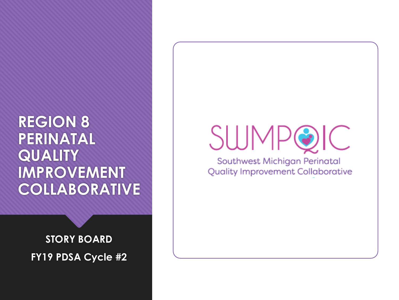### **REGION 8 PERINATAL QUALITY IMPROVEMENT COLLABORATIVE**

**STORY BOARD FY19 PDSA Cycle #2**

### **SWMPG**  $\bigcup$

Southwest Michigan Perinatal **Quality Improvement Collaborative**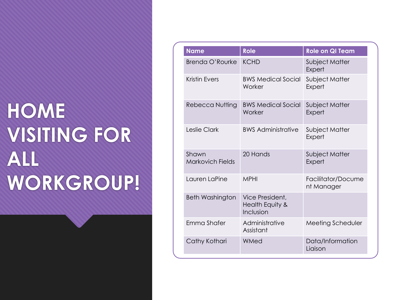## **HOME VISITING FOR ALL WORKGROUP!**

| <b>Name</b>                      | <b>Role</b>                                     | <b>Role on QI Team</b>           |
|----------------------------------|-------------------------------------------------|----------------------------------|
| Brenda O'Rourke                  | <b>KCHD</b>                                     | Subject Matter<br>Expert         |
| <b>Kristin Evers</b>             | <b>BWS Medical Social</b><br>Worker             | Subject Matter<br>Expert         |
| Rebecca Nutting                  | <b>BWS Medical Social</b><br>Worker             | Subject Matter<br>Expert         |
| Leslie Clark                     | <b>BWS Administrative</b>                       | Subject Matter<br>Expert         |
| Shawn<br><b>Markovich Fields</b> | 20 Hands                                        | Subject Matter<br>Expert         |
| Lauren LaPine                    | <b>MPHI</b>                                     | Facilitator/Docume<br>nt Manager |
| <b>Beth Washington</b>           | Vice President,<br>Health Equity &<br>Inclusion |                                  |
| Emma Shafer                      | Administrative<br>Assistant                     | Meeting Scheduler                |
| Cathy Kothari                    | WMed                                            | Data/Information<br>Liaison      |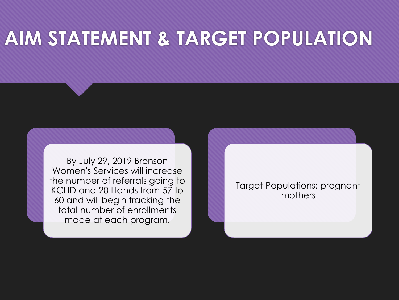### **AIM STATEMENT & TARGET POPULATION**

By July 29, 2019 Bronson Women's Services will increase the number of referrals going to KCHD and 20 Hands from 57 to 60 and will begin tracking the total number of enrollments made at each program.

Target Populations: pregnant mothers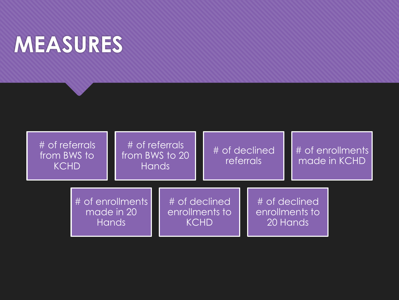## **MEASURES**

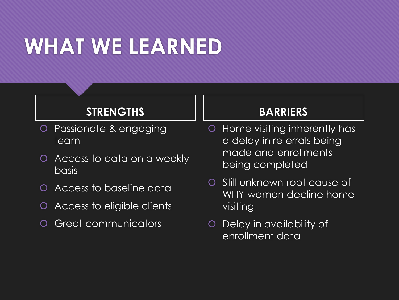# **WHAT WE LEARNED**

#### **STRENGTHS**

- Passionate & engaging team
- Access to data on a weekly **basis**
- Access to baseline data
- Access to eligible clients
- Great communicators

#### **BARRIERS**

- Home visiting inherently has a delay in referrals being made and enrollments being completed
- O Still unknown root cause of WHY women decline home visiting
- Delay in availability of enrollment data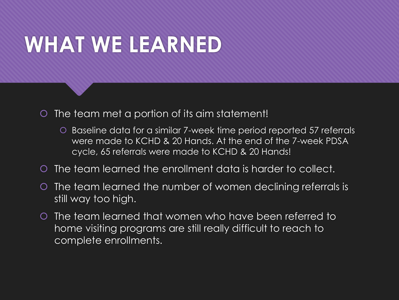# **WHAT WE LEARNED**

O The team met a portion of its aim statement!

- Baseline data for a similar 7-week time period reported 57 referrals were made to KCHD & 20 Hands. At the end of the 7-week PDSA cycle, 65 referrals were made to KCHD & 20 Hands!
- The team learned the enrollment data is harder to collect.
- O The team learned the number of women declining referrals is still way too high.
- O The team learned that women who have been referred to home visiting programs are still really difficult to reach to complete enrollments.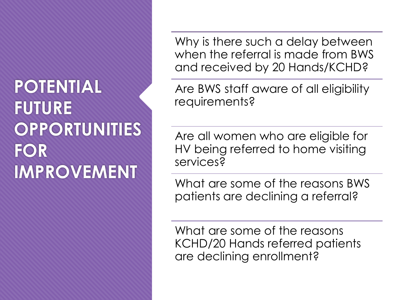### **POTENTIAL FUTURE OPPORTUNITIES FOR IMPROVEMENT**

Why is there such a delay between when the referral is made from BWS and received by 20 Hands/KCHD?

Are BWS staff aware of all eligibility requirements?

Are all women who are eligible for HV being referred to home visiting services?

What are some of the reasons BWS patients are declining a referral?

What are some of the reasons KCHD/20 Hands referred patients are declining enrollment?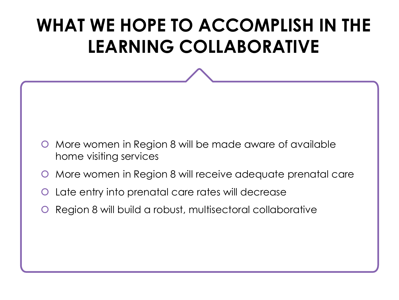### **WHAT WE HOPE TO ACCOMPLISH IN THE LEARNING COLLABORATIVE**

- O More women in Region 8 will be made aware of available home visiting services
- **O** More women in Region 8 will receive adequate prenatal care
- Late entry into prenatal care rates will decrease
- **O** Region 8 will build a robust, multisectoral collaborative